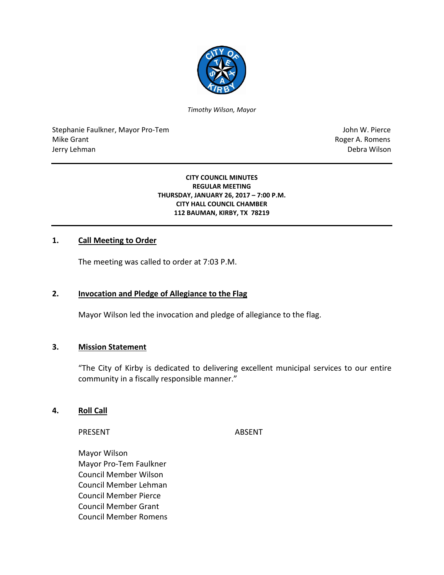

*Timothy Wilson, Mayor*

Stephanie Faulkner, Mayor Pro-Tem John W. Pierce Mike Grant **Roger A. Romens** Jerry Lehman Debra Wilson

#### **CITY COUNCIL MINUTES REGULAR MEETING THURSDAY, JANUARY 26, 2017 – 7:00 P.M. CITY HALL COUNCIL CHAMBER 112 BAUMAN, KIRBY, TX 78219**

#### **1. Call Meeting to Order**

The meeting was called to order at 7:03 P.M.

#### **2. Invocation and Pledge of Allegiance to the Flag**

Mayor Wilson led the invocation and pledge of allegiance to the flag.

#### **3. Mission Statement**

"The City of Kirby is dedicated to delivering excellent municipal services to our entire community in a fiscally responsible manner."

#### **4. Roll Call**

PRESENT ABSENT

Mayor Wilson Mayor Pro-Tem Faulkner Council Member Wilson Council Member Lehman Council Member Pierce Council Member Grant Council Member Romens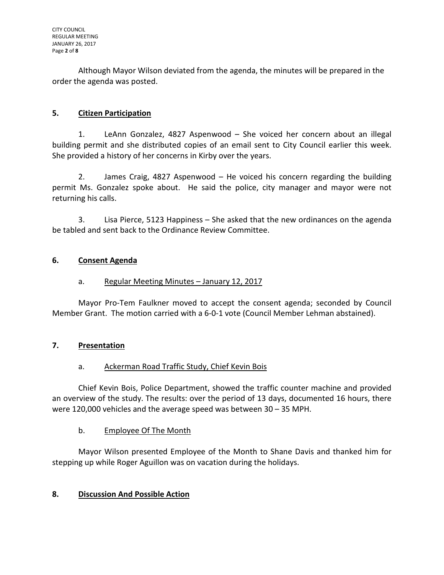Although Mayor Wilson deviated from the agenda, the minutes will be prepared in the order the agenda was posted.

# **5. Citizen Participation**

1. LeAnn Gonzalez, 4827 Aspenwood – She voiced her concern about an illegal building permit and she distributed copies of an email sent to City Council earlier this week. She provided a history of her concerns in Kirby over the years.

2. James Craig, 4827 Aspenwood – He voiced his concern regarding the building permit Ms. Gonzalez spoke about. He said the police, city manager and mayor were not returning his calls.

3. Lisa Pierce, 5123 Happiness – She asked that the new ordinances on the agenda be tabled and sent back to the Ordinance Review Committee.

## **6. Consent Agenda**

# a. Regular Meeting Minutes – January 12, 2017

Mayor Pro-Tem Faulkner moved to accept the consent agenda; seconded by Council Member Grant. The motion carried with a 6-0-1 vote (Council Member Lehman abstained).

## **7. Presentation**

## a. Ackerman Road Traffic Study, Chief Kevin Bois

Chief Kevin Bois, Police Department, showed the traffic counter machine and provided an overview of the study. The results: over the period of 13 days, documented 16 hours, there were 120,000 vehicles and the average speed was between 30 – 35 MPH.

## b. Employee Of The Month

Mayor Wilson presented Employee of the Month to Shane Davis and thanked him for stepping up while Roger Aguillon was on vacation during the holidays.

# **8. Discussion And Possible Action**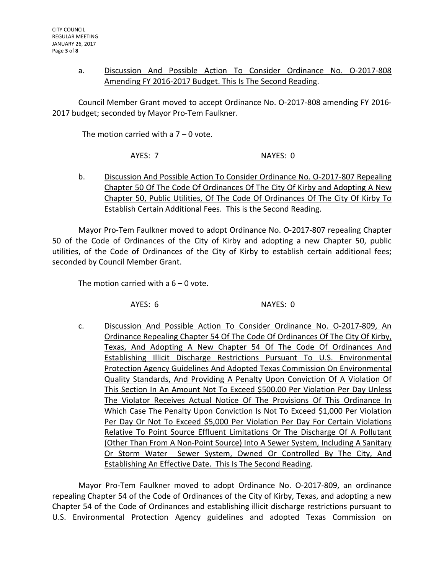### a. Discussion And Possible Action To Consider Ordinance No. O-2017-808 Amending FY 2016-2017 Budget. This Is The Second Reading.

Council Member Grant moved to accept Ordinance No. O-2017-808 amending FY 2016- 2017 budget; seconded by Mayor Pro-Tem Faulkner.

The motion carried with a  $7 - 0$  vote.

AYES: 7 NAYES: 0

b. Discussion And Possible Action To Consider Ordinance No. O-2017-807 Repealing Chapter 50 Of The Code Of Ordinances Of The City Of Kirby and Adopting A New Chapter 50, Public Utilities, Of The Code Of Ordinances Of The City Of Kirby To Establish Certain Additional Fees. This is the Second Reading.

Mayor Pro-Tem Faulkner moved to adopt Ordinance No. O-2017-807 repealing Chapter 50 of the Code of Ordinances of the City of Kirby and adopting a new Chapter 50, public utilities, of the Code of Ordinances of the City of Kirby to establish certain additional fees; seconded by Council Member Grant.

The motion carried with a  $6 - 0$  vote.

AYES: 6 NAYES: 0

c. Discussion And Possible Action To Consider Ordinance No. O-2017-809, An Ordinance Repealing Chapter 54 Of The Code Of Ordinances Of The City Of Kirby, Texas, And Adopting A New Chapter 54 Of The Code Of Ordinances And Establishing Illicit Discharge Restrictions Pursuant To U.S. Environmental Protection Agency Guidelines And Adopted Texas Commission On Environmental Quality Standards, And Providing A Penalty Upon Conviction Of A Violation Of This Section In An Amount Not To Exceed \$500.00 Per Violation Per Day Unless The Violator Receives Actual Notice Of The Provisions Of This Ordinance In Which Case The Penalty Upon Conviction Is Not To Exceed \$1,000 Per Violation Per Day Or Not To Exceed \$5,000 Per Violation Per Day For Certain Violations Relative To Point Source Effluent Limitations Or The Discharge Of A Pollutant (Other Than From A Non-Point Source) Into A Sewer System, Including A Sanitary Or Storm Water Sewer System, Owned Or Controlled By The City, And Establishing An Effective Date. This Is The Second Reading.

Mayor Pro-Tem Faulkner moved to adopt Ordinance No. O-2017-809, an ordinance repealing Chapter 54 of the Code of Ordinances of the City of Kirby, Texas, and adopting a new Chapter 54 of the Code of Ordinances and establishing illicit discharge restrictions pursuant to U.S. Environmental Protection Agency guidelines and adopted Texas Commission on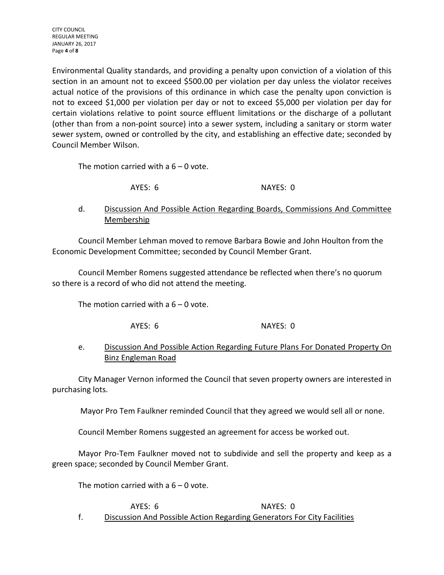Environmental Quality standards, and providing a penalty upon conviction of a violation of this section in an amount not to exceed \$500.00 per violation per day unless the violator receives actual notice of the provisions of this ordinance in which case the penalty upon conviction is not to exceed \$1,000 per violation per day or not to exceed \$5,000 per violation per day for certain violations relative to point source effluent limitations or the discharge of a pollutant (other than from a non-point source) into a sewer system, including a sanitary or storm water sewer system, owned or controlled by the city, and establishing an effective date; seconded by Council Member Wilson.

The motion carried with a  $6 - 0$  vote.

AYES: 6 NAYES: 0

## d. Discussion And Possible Action Regarding Boards, Commissions And Committee Membership

Council Member Lehman moved to remove Barbara Bowie and John Houlton from the Economic Development Committee; seconded by Council Member Grant.

Council Member Romens suggested attendance be reflected when there's no quorum so there is a record of who did not attend the meeting.

The motion carried with a  $6 - 0$  vote.

AYES: 6 NAYES: 0

### e. Discussion And Possible Action Regarding Future Plans For Donated Property On Binz Engleman Road

City Manager Vernon informed the Council that seven property owners are interested in purchasing lots.

Mayor Pro Tem Faulkner reminded Council that they agreed we would sell all or none.

Council Member Romens suggested an agreement for access be worked out.

Mayor Pro-Tem Faulkner moved not to subdivide and sell the property and keep as a green space; seconded by Council Member Grant.

The motion carried with  $a_1$  6 – 0 vote.

AYES: 6 NAYES: 0 f. Discussion And Possible Action Regarding Generators For City Facilities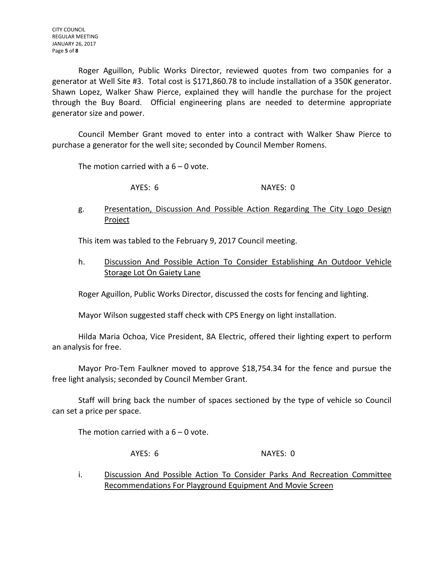CITY COUNCIL REGULAR MEETING JANUARY 26, 2017 Page **5** of **8**

Roger Aguillon, Public Works Director, reviewed quotes from two companies for a generator at Well Site #3. Total cost is \$171,860.78 to include installation of a 350K generator. Shawn Lopez, Walker Shaw Pierce, explained they will handle the purchase for the project through the Buy Board. Official engineering plans are needed to determine appropriate generator size and power.

Council Member Grant moved to enter into a contract with Walker Shaw Pierce to purchase a generator for the well site; seconded by Council Member Romens.

The motion carried with a  $6 - 0$  vote.

AYES: 6 NAYES: 0

g. Presentation, Discussion And Possible Action Regarding The City Logo Design Project

This item was tabled to the February 9, 2017 Council meeting.

h. Discussion And Possible Action To Consider Establishing An Outdoor Vehicle **Storage Lot On Gaiety Lane** 

Roger Aguillon, Public Works Director, discussed the costs for fencing and lighting.

Mayor Wilson suggested staff check with CPS Energy on light installation.

Hilda Maria Ochoa, Vice President, 8A Electric, offered their lighting expert to perform an analysis for free.

Mayor Pro-Tem Faulkner moved to approve \$18,754.34 for the fence and pursue the free light analysis; seconded by Council Member Grant.

Staff will bring back the number of spaces sectioned by the type of vehicle so Council can set a price per space.

The motion carried with a  $6 - 0$  vote.

AYES: 6 NAYES: 0

i. Discussion And Possible Action To Consider Parks And Recreation Committee Recommendations For Playground Equipment And Movie Screen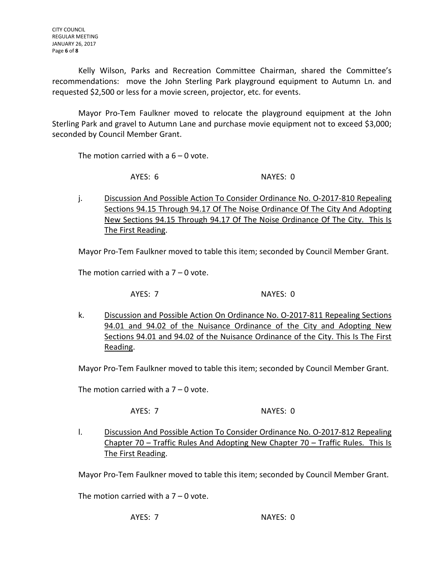Kelly Wilson, Parks and Recreation Committee Chairman, shared the Committee's recommendations: move the John Sterling Park playground equipment to Autumn Ln. and requested \$2,500 or less for a movie screen, projector, etc. for events.

Mayor Pro-Tem Faulkner moved to relocate the playground equipment at the John Sterling Park and gravel to Autumn Lane and purchase movie equipment not to exceed \$3,000; seconded by Council Member Grant.

The motion carried with a  $6 - 0$  vote.

AYES: 6 NAYES: 0

j. Discussion And Possible Action To Consider Ordinance No. O-2017-810 Repealing Sections 94.15 Through 94.17 Of The Noise Ordinance Of The City And Adopting New Sections 94.15 Through 94.17 Of The Noise Ordinance Of The City. This Is The First Reading.

Mayor Pro-Tem Faulkner moved to table this item; seconded by Council Member Grant.

The motion carried with a  $7 - 0$  vote.

AYES: 7 NAYES: 0

k. Discussion and Possible Action On Ordinance No. O-2017-811 Repealing Sections 94.01 and 94.02 of the Nuisance Ordinance of the City and Adopting New Sections 94.01 and 94.02 of the Nuisance Ordinance of the City. This Is The First Reading.

Mayor Pro-Tem Faulkner moved to table this item; seconded by Council Member Grant.

The motion carried with a  $7 - 0$  vote.

AYES: 7 NAYES: 0

l. Discussion And Possible Action To Consider Ordinance No. O-2017-812 Repealing Chapter 70 – Traffic Rules And Adopting New Chapter 70 – Traffic Rules. This Is The First Reading.

Mayor Pro-Tem Faulkner moved to table this item; seconded by Council Member Grant.

The motion carried with a  $7 - 0$  vote.

AYES: 7 NAYES: 0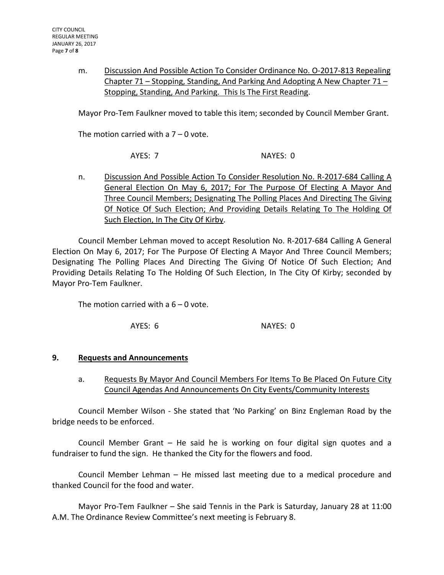m. Discussion And Possible Action To Consider Ordinance No. O-2017-813 Repealing Chapter 71 – Stopping, Standing, And Parking And Adopting A New Chapter 71 – Stopping, Standing, And Parking. This Is The First Reading.

Mayor Pro-Tem Faulkner moved to table this item; seconded by Council Member Grant.

The motion carried with a  $7 - 0$  vote.

AYES: 7 NAYES: 0

n. Discussion And Possible Action To Consider Resolution No. R-2017-684 Calling A General Election On May 6, 2017; For The Purpose Of Electing A Mayor And Three Council Members; Designating The Polling Places And Directing The Giving Of Notice Of Such Election; And Providing Details Relating To The Holding Of Such Election, In The City Of Kirby.

Council Member Lehman moved to accept Resolution No. R-2017-684 Calling A General Election On May 6, 2017; For The Purpose Of Electing A Mayor And Three Council Members; Designating The Polling Places And Directing The Giving Of Notice Of Such Election; And Providing Details Relating To The Holding Of Such Election, In The City Of Kirby; seconded by Mayor Pro-Tem Faulkner.

The motion carried with a  $6 - 0$  vote.

AYES: 6 NAYES: 0

#### **9. Requests and Announcements**

a. Requests By Mayor And Council Members For Items To Be Placed On Future City Council Agendas And Announcements On City Events/Community Interests

Council Member Wilson - She stated that 'No Parking' on Binz Engleman Road by the bridge needs to be enforced.

Council Member Grant – He said he is working on four digital sign quotes and a fundraiser to fund the sign. He thanked the City for the flowers and food.

Council Member Lehman – He missed last meeting due to a medical procedure and thanked Council for the food and water.

Mayor Pro-Tem Faulkner – She said Tennis in the Park is Saturday, January 28 at 11:00 A.M. The Ordinance Review Committee's next meeting is February 8.